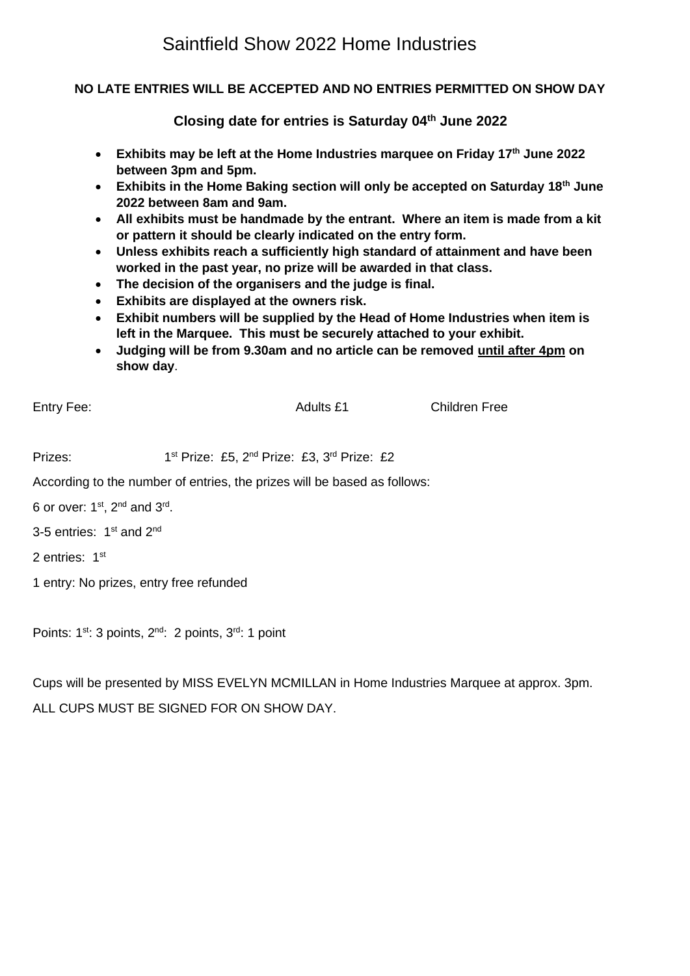## Saintfield Show 2022 Home Industries

#### **NO LATE ENTRIES WILL BE ACCEPTED AND NO ENTRIES PERMITTED ON SHOW DAY**

**Closing date for entries is Saturday 04th June 2022**

- **Exhibits may be left at the Home Industries marquee on Friday 17th June 2022 between 3pm and 5pm.**
- **Exhibits in the Home Baking section will only be accepted on Saturday 18th June 2022 between 8am and 9am.**
- **All exhibits must be handmade by the entrant. Where an item is made from a kit or pattern it should be clearly indicated on the entry form.**
- **Unless exhibits reach a sufficiently high standard of attainment and have been worked in the past year, no prize will be awarded in that class.**
- **The decision of the organisers and the judge is final.**
- **Exhibits are displayed at the owners risk.**
- **Exhibit numbers will be supplied by the Head of Home Industries when item is left in the Marquee. This must be securely attached to your exhibit.**
- **Judging will be from 9.30am and no article can be removed until after 4pm on show day**.

Entry Fee: Children Free

Prizes: <sup>st</sup> Prize: £5, 2<sup>nd</sup> Prize: £3, 3<sup>rd</sup> Prize: £2 According to the number of entries, the prizes will be based as follows: 6 or over:  $1^{st}$ ,  $2^{nd}$  and  $3^{rd}$ . 3-5 entries: 1<sup>st</sup> and 2<sup>nd</sup> 2 entries: 1st 1 entry: No prizes, entry free refunded

Points: 1<sup>st</sup>: 3 points, 2<sup>nd</sup>: 2 points, 3<sup>rd</sup>: 1 point

Cups will be presented by MISS EVELYN MCMILLAN in Home Industries Marquee at approx. 3pm. ALL CUPS MUST BE SIGNED FOR ON SHOW DAY.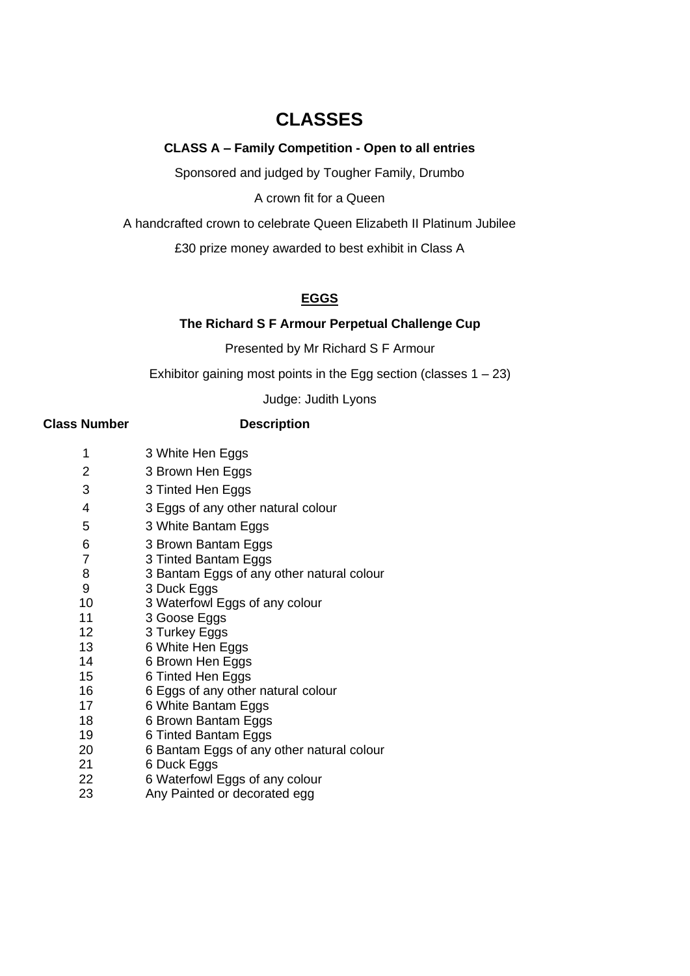## **CLASSES**

#### **CLASS A – Family Competition - Open to all entries**

Sponsored and judged by Tougher Family, Drumbo

A crown fit for a Queen

A handcrafted crown to celebrate Queen Elizabeth II Platinum Jubilee

£30 prize money awarded to best exhibit in Class A

### **EGGS**

### **The Richard S F Armour Perpetual Challenge Cup**

Presented by Mr Richard S F Armour

Exhibitor gaining most points in the Egg section (classes  $1 - 23$ )

Judge: Judith Lyons

#### **Class Number Description**

| 1              | 3 White Hen Eggs                          |
|----------------|-------------------------------------------|
| 2              | 3 Brown Hen Eggs                          |
| 3              | 3 Tinted Hen Eggs                         |
| 4              | 3 Eggs of any other natural colour        |
| 5              | 3 White Bantam Eggs                       |
| 6              | 3 Brown Bantam Eggs                       |
| $\overline{7}$ | 3 Tinted Bantam Eggs                      |
| 8              | 3 Bantam Eggs of any other natural colour |
| 9              | 3 Duck Eggs                               |
| 10             | 3 Waterfowl Eggs of any colour            |
| 11             | 3 Goose Eggs                              |
| 12             | 3 Turkey Eggs                             |
| 13             | 6 White Hen Eggs                          |
| 14             | 6 Brown Hen Eggs                          |
| 15             | 6 Tinted Hen Eggs                         |
| 16             | 6 Eggs of any other natural colour        |
| 17             | 6 White Bantam Eggs                       |
| 18             | 6 Brown Bantam Eggs                       |
| 19             | 6 Tinted Bantam Eggs                      |
| 20             | 6 Bantam Eggs of any other natural colour |
| 21             | 6 Duck Eggs                               |
| 22             | 6 Waterfowl Eggs of any colour            |
| 23             | Any Painted or decorated egg              |
|                |                                           |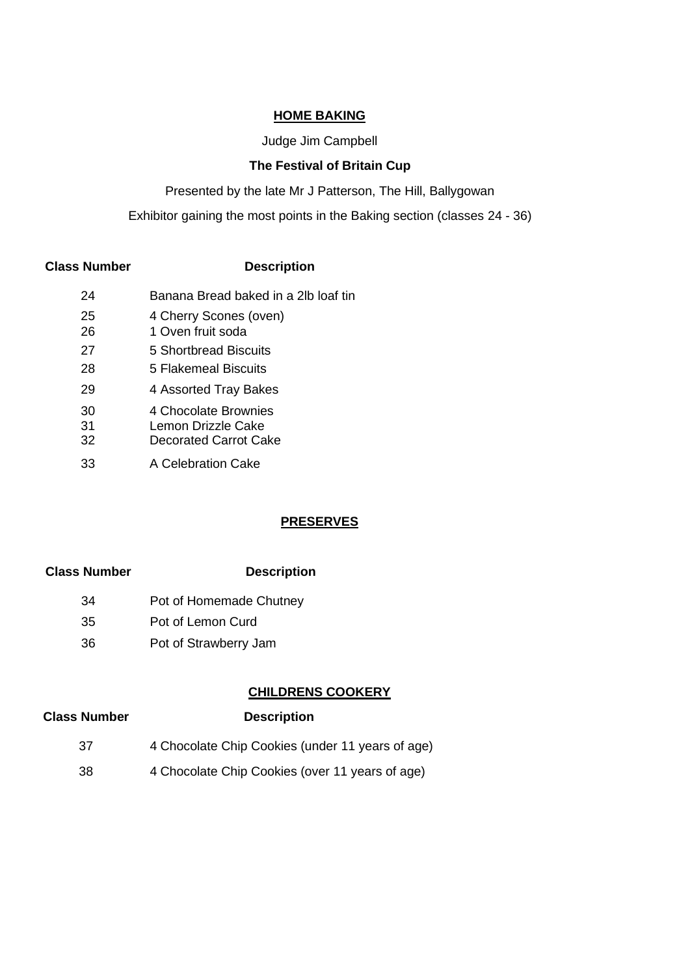#### **HOME BAKING**

#### Judge Jim Campbell

#### **The Festival of Britain Cup**

Presented by the late Mr J Patterson, The Hill, Ballygowan

Exhibitor gaining the most points in the Baking section (classes 24 - 36)

#### **Class Number Description**

| 24       | Banana Bread baked in a 2lb loaf tin       |
|----------|--------------------------------------------|
| 25       | 4 Cherry Scones (oven)                     |
| 26       | 1 Oven fruit soda                          |
| 27       | 5 Shortbread Biscuits                      |
| 28       | 5 Flakemeal Biscuits                       |
| 29       | 4 Assorted Tray Bakes                      |
| 30<br>31 | 4 Chocolate Brownies<br>Lemon Drizzle Cake |
| 32       | Decorated Carrot Cake                      |
| 33       | A Celebration Cake                         |

### **PRESERVES**

#### **Class Number Description**

- 34 Pot of Homemade Chutney
- 35 Pot of Lemon Curd
- 36 Pot of Strawberry Jam

### **CHILDRENS COOKERY**

# **Class Number Description** 37 4 Chocolate Chip Cookies (under 11 years of age)

38 4 Chocolate Chip Cookies (over 11 years of age)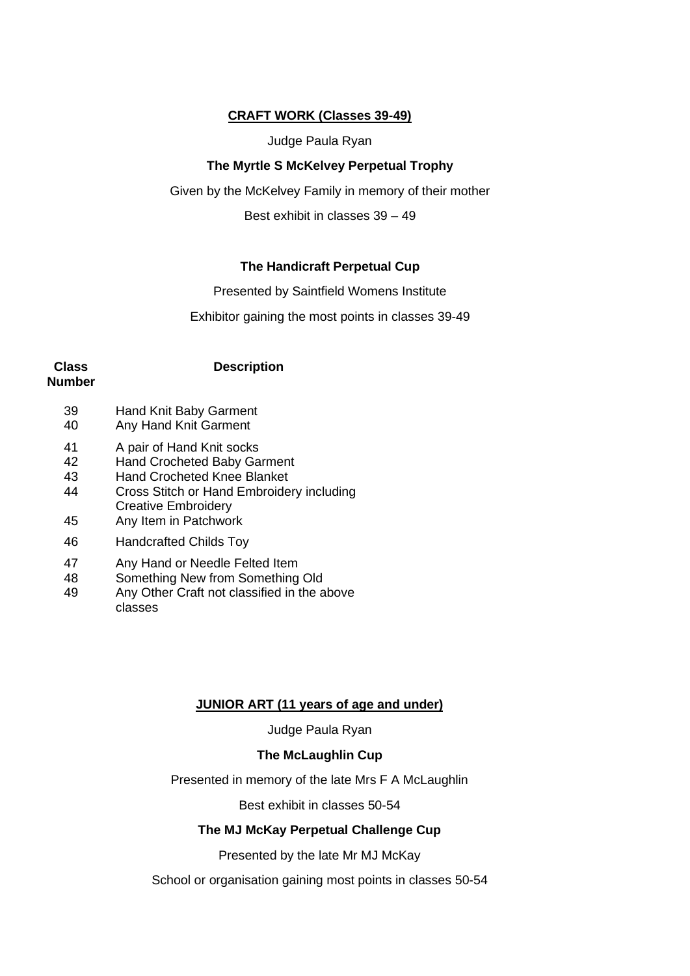#### **CRAFT WORK (Classes 39-49)**

Judge Paula Ryan

#### **The Myrtle S McKelvey Perpetual Trophy**

Given by the McKelvey Family in memory of their mother

Best exhibit in classes 39 – 49

#### **The Handicraft Perpetual Cup**

Presented by Saintfield Womens Institute

Exhibitor gaining the most points in classes 39-49

# **Class**

#### **Description**

- **Number**
	- 39 Hand Knit Baby Garment
	- 40 Any Hand Knit Garment
	- 41 A pair of Hand Knit socks
	- 42 Hand Crocheted Baby Garment
	- 43 Hand Crocheted Knee Blanket
	- 44 Cross Stitch or Hand Embroidery including
	- Creative Embroidery 45 Any Item in Patchwork
	- 46 Handcrafted Childs Toy
	- 47 Any Hand or Needle Felted Item
	- 48 Something New from Something Old
	- 49 Any Other Craft not classified in the above classes

### **JUNIOR ART (11 years of age and under)**

Judge Paula Ryan

### **The McLaughlin Cup**

Presented in memory of the late Mrs F A McLaughlin

Best exhibit in classes 50-54

#### **The MJ McKay Perpetual Challenge Cup**

Presented by the late Mr MJ McKay

School or organisation gaining most points in classes 50-54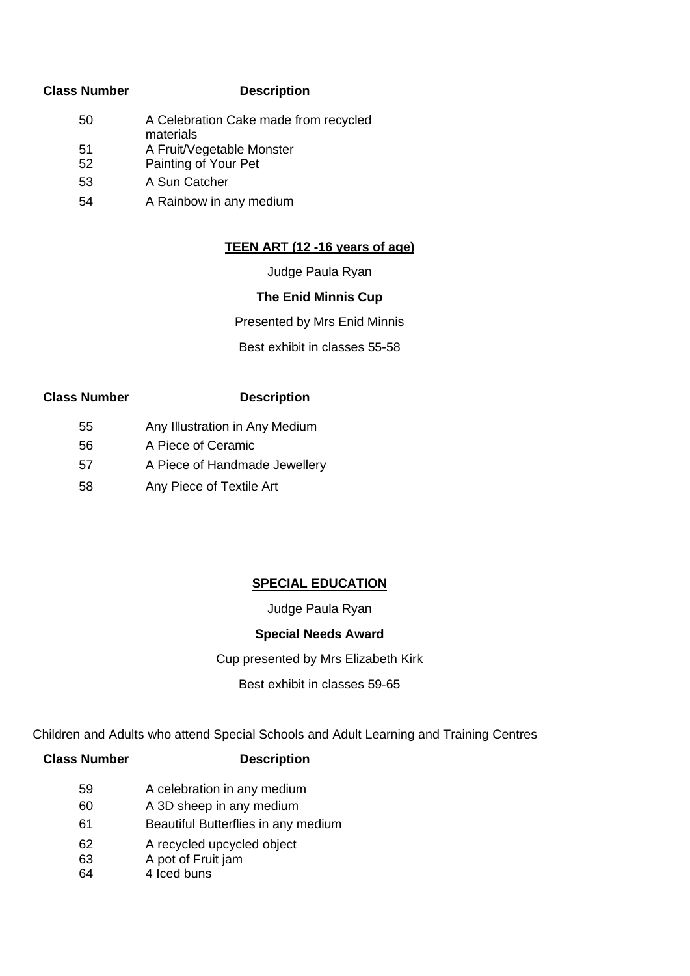#### **Class Number Description**

50 51 A Celebration Cake made from recycled materials A Fruit/Vegetable Monster 52 Painting of Your Pet 53 A Sun Catcher 54 A Rainbow in any medium

### **TEEN ART (12 -16 years of age)**

Judge Paula Ryan

### **The Enid Minnis Cup**

Presented by Mrs Enid Minnis

Best exhibit in classes 55-58

### **Class Number Description**

- 55 Any Illustration in Any Medium
- 56 A Piece of Ceramic
- 57 A Piece of Handmade Jewellery
- 58 Any Piece of Textile Art

### **SPECIAL EDUCATION**

### Judge Paula Ryan

### **Special Needs Award**

### Cup presented by Mrs Elizabeth Kirk

Best exhibit in classes 59-65

Children and Adults who attend Special Schools and Adult Learning and Training Centres

| <b>Class Number</b> | <b>Description</b>                  |
|---------------------|-------------------------------------|
| 59                  | A celebration in any medium         |
| 60                  | A 3D sheep in any medium            |
| 61                  | Beautiful Butterflies in any medium |
| 62                  | A recycled upcycled object          |
| 63                  | A pot of Fruit jam                  |
| 64                  | 4 Iced buns                         |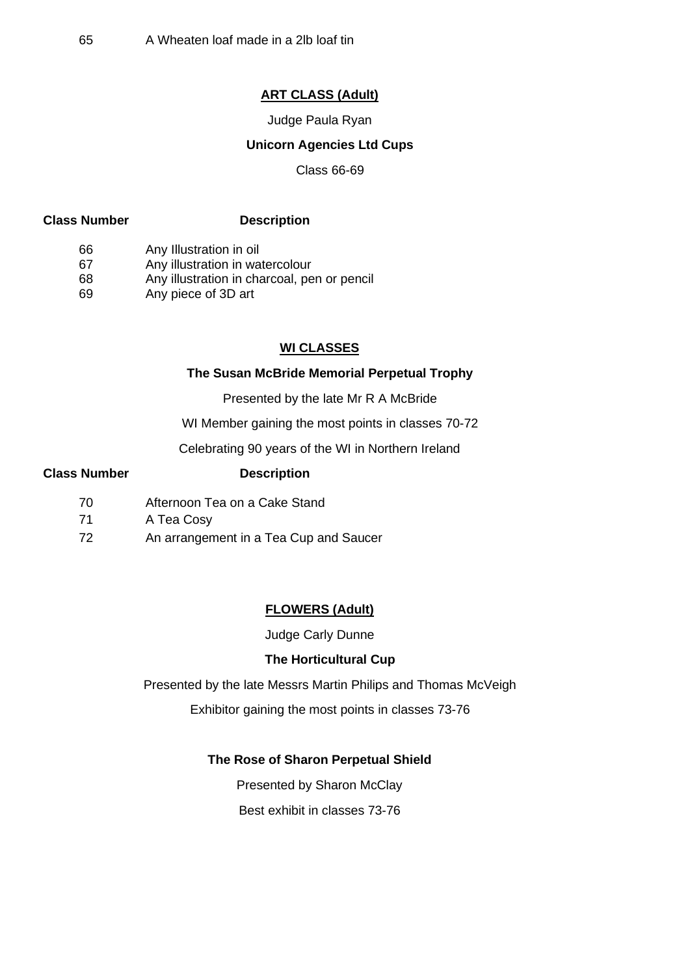### **ART CLASS (Adult)**

Judge Paula Ryan

### **Unicorn Agencies Ltd Cups**

Class 66-69

#### **Class Number Description**

66 Any Illustration in oil

67 Any illustration in watercolour

68 Any illustration in charcoal, pen or pencil

69 Any piece of 3D art

### **WI CLASSES**

#### **The Susan McBride Memorial Perpetual Trophy**

Presented by the late Mr R A McBride

WI Member gaining the most points in classes 70-72

Celebrating 90 years of the WI in Northern Ireland

#### **Class Number Description**

- 70 Afternoon Tea on a Cake Stand
- 71 A Tea Cosy
- 72 An arrangement in a Tea Cup and Saucer

#### **FLOWERS (Adult)**

Judge Carly Dunne

#### **The Horticultural Cup**

Presented by the late Messrs Martin Philips and Thomas McVeigh

Exhibitor gaining the most points in classes 73-76

#### **The Rose of Sharon Perpetual Shield**

Presented by Sharon McClay

Best exhibit in classes 73-76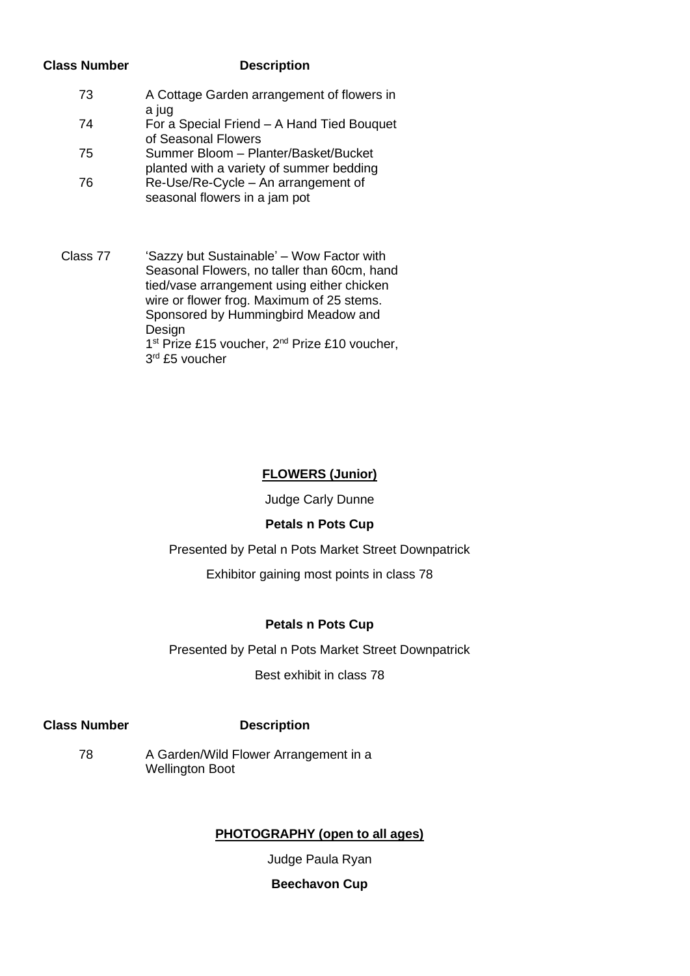#### **Class Number Description**

| 73 | A Cottage Garden arrangement of flowers in |
|----|--------------------------------------------|
|    | a jug                                      |
| 74 | For a Special Friend - A Hand Tied Bouquet |
|    | of Seasonal Flowers                        |
| 75 | Summer Bloom - Planter/Basket/Bucket       |
|    | planted with a variety of summer bedding   |
| 76 | Re-Use/Re-Cycle – An arrangement of        |

- seasonal flowers in a jam pot
- Class 77 'Sazzy but Sustainable' Wow Factor with Seasonal Flowers, no taller than 60cm, hand tied/vase arrangement using either chicken wire or flower frog. Maximum of 25 stems. Sponsored by Hummingbird Meadow and Design 1<sup>st</sup> Prize £15 voucher, 2<sup>nd</sup> Prize £10 voucher, 3<sup>rd</sup> £5 voucher

### **FLOWERS (Junior)**

Judge Carly Dunne

### **Petals n Pots Cup**

Presented by Petal n Pots Market Street Downpatrick

Exhibitor gaining most points in class 78

### **Petals n Pots Cup**

Presented by Petal n Pots Market Street Downpatrick

Best exhibit in class 78

### **Class Number Description**

78 A Garden/Wild Flower Arrangement in a Wellington Boot

### **PHOTOGRAPHY (open to all ages)**

Judge Paula Ryan

### **Beechavon Cup**